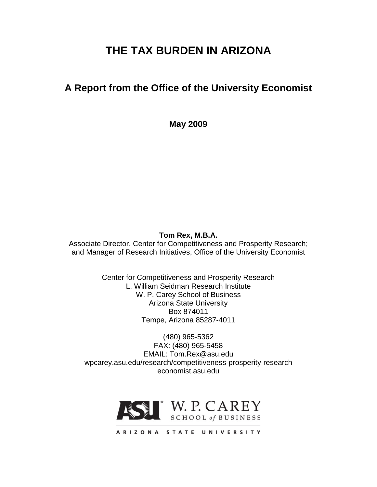# **THE TAX BURDEN IN ARIZONA**

# **A Report from the Office of the University Economist**

**May 2009**

# **Tom Rex, M.B.A.**

Associate Director, Center for Competitiveness and Prosperity Research; and Manager of Research Initiatives, Office of the University Economist

> Center for Competitiveness and Prosperity Research L. William Seidman Research Institute W. P. Carey School of Business Arizona State University Box 874011 Tempe, Arizona 85287-4011

(480) 965-5362 FAX: (480) 965-5458 EMAIL: Tom.Rex@asu.edu wpcarey.asu.edu/research/competitiveness-prosperity-research economist.asu.edu



ARIZONA STATE UNIVERSITY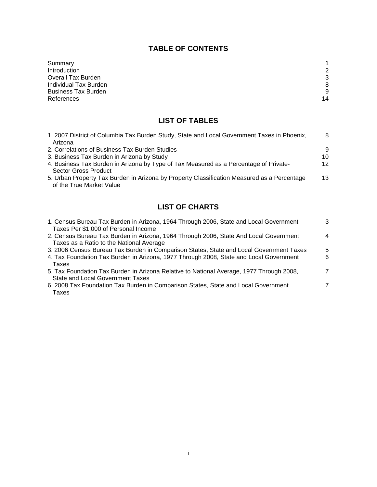# **TABLE OF CONTENTS**

| Summary                    |                |
|----------------------------|----------------|
| Introduction               | $\overline{2}$ |
| Overall Tax Burden         | 3              |
| Individual Tax Burden      | 8              |
| <b>Business Tax Burden</b> | 9              |
| References                 | 14             |

# **LIST OF TABLES**

| 1. 2007 District of Columbia Tax Burden Study, State and Local Government Taxes in Phoenix, | 8  |
|---------------------------------------------------------------------------------------------|----|
| Arizona                                                                                     |    |
| 2. Correlations of Business Tax Burden Studies                                              | 9  |
| 3. Business Tax Burden in Arizona by Study                                                  | 10 |
| 4. Business Tax Burden in Arizona by Type of Tax Measured as a Percentage of Private-       | 12 |
| Sector Gross Product                                                                        |    |
| 5. Urban Property Tax Burden in Arizona by Property Classification Measured as a Percentage | 13 |
| of the True Market Value                                                                    |    |

# **LIST OF CHARTS**

| 1. Census Bureau Tax Burden in Arizona, 1964 Through 2006, State and Local Government    | 3 |
|------------------------------------------------------------------------------------------|---|
| Taxes Per \$1,000 of Personal Income                                                     |   |
| 2. Census Bureau Tax Burden in Arizona, 1964 Through 2006, State And Local Government    | 4 |
| Taxes as a Ratio to the National Average                                                 |   |
| 3. 2006 Census Bureau Tax Burden in Comparison States, State and Local Government Taxes  | 5 |
| 4. Tax Foundation Tax Burden in Arizona, 1977 Through 2008, State and Local Government   | 6 |
| Taxes                                                                                    |   |
| 5. Tax Foundation Tax Burden in Arizona Relative to National Average, 1977 Through 2008, | 7 |
| <b>State and Local Government Taxes</b>                                                  |   |
| 6. 2008 Tax Foundation Tax Burden in Comparison States, State and Local Government       | 7 |
| Taxes                                                                                    |   |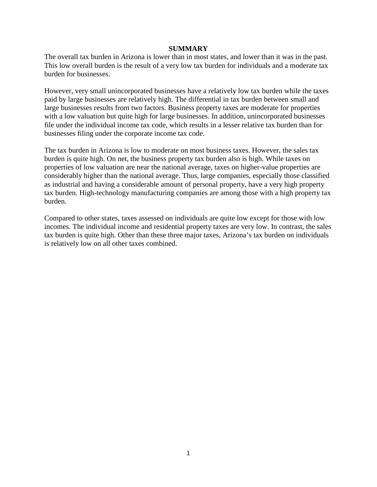#### **SUMMARY**

The overall tax burden in Arizona is lower than in most states, and lower than it was in the past. This low overall burden is the result of a very low tax burden for individuals and a moderate tax burden for businesses.

However, very small unincorporated businesses have a relatively low tax burden while the taxes paid by large businesses are relatively high. The differential in tax burden between small and large businesses results from two factors. Business property taxes are moderate for properties with a low valuation but quite high for large businesses. In addition, unincorporated businesses file under the individual income tax code, which results in a lesser relative tax burden than for businesses filing under the corporate income tax code.

The tax burden in Arizona is low to moderate on most business taxes. However, the sales tax burden is quite high. On net, the business property tax burden also is high. While taxes on properties of low valuation are near the national average, taxes on higher-value properties are considerably higher than the national average. Thus, large companies, especially those classified as industrial and having a considerable amount of personal property, have a very high property tax burden. High-technology manufacturing companies are among those with a high property tax burden.

Compared to other states, taxes assessed on individuals are quite low except for those with low incomes. The individual income and residential property taxes are very low. In contrast, the sales tax burden is quite high. Other than these three major taxes, Arizona's tax burden on individuals is relatively low on all other taxes combined.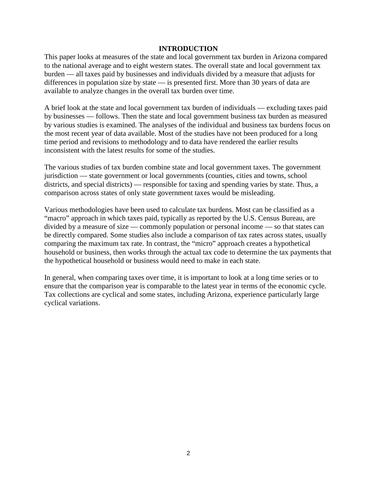### **INTRODUCTION**

This paper looks at measures of the state and local government tax burden in Arizona compared to the national average and to eight western states. The overall state and local government tax burden — all taxes paid by businesses and individuals divided by a measure that adjusts for differences in population size by state — is presented first. More than 30 years of data are available to analyze changes in the overall tax burden over time.

A brief look at the state and local government tax burden of individuals — excluding taxes paid by businesses — follows. Then the state and local government business tax burden as measured by various studies is examined. The analyses of the individual and business tax burdens focus on the most recent year of data available. Most of the studies have not been produced for a long time period and revisions to methodology and to data have rendered the earlier results inconsistent with the latest results for some of the studies.

The various studies of tax burden combine state and local government taxes. The government jurisdiction — state government or local governments (counties, cities and towns, school districts, and special districts) — responsible for taxing and spending varies by state. Thus, a comparison across states of only state government taxes would be misleading.

Various methodologies have been used to calculate tax burdens. Most can be classified as a "macro" approach in which taxes paid, typically as reported by the U.S. Census Bureau, are divided by a measure of size — commonly population or personal income — so that states can be directly compared. Some studies also include a comparison of tax rates across states, usually comparing the maximum tax rate. In contrast, the "micro" approach creates a hypothetical household or business, then works through the actual tax code to determine the tax payments that the hypothetical household or business would need to make in each state.

In general, when comparing taxes over time, it is important to look at a long time series or to ensure that the comparison year is comparable to the latest year in terms of the economic cycle. Tax collections are cyclical and some states, including Arizona, experience particularly large cyclical variations.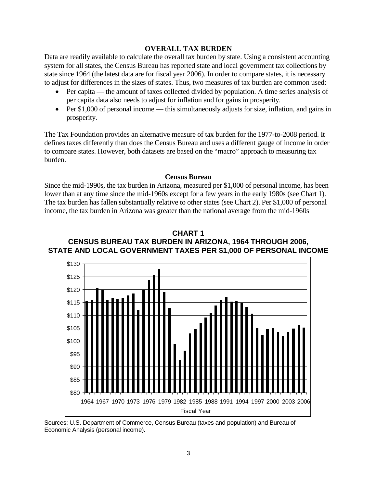#### **OVERALL TAX BURDEN**

Data are readily available to calculate the overall tax burden by state. Using a consistent accounting system for all states, the Census Bureau has reported state and local government tax collections by state since 1964 (the latest data are for fiscal year 2006). In order to compare states, it is necessary to adjust for differences in the sizes of states. Thus, two measures of tax burden are common used:

- Per capita the amount of taxes collected divided by population. A time series analysis of per capita data also needs to adjust for inflation and for gains in prosperity.
- Per \$1,000 of personal income this simultaneously adjusts for size, inflation, and gains in prosperity.

The Tax Foundation provides an alternative measure of tax burden for the 1977-to-2008 period. It defines taxes differently than does the Census Bureau and uses a different gauge of income in order to compare states. However, both datasets are based on the "macro" approach to measuring tax burden.

#### **Census Bureau**

Since the mid-1990s, the tax burden in Arizona, measured per \$1,000 of personal income, has been lower than at any time since the mid-1960s except for a few years in the early 1980s (see Chart 1). The tax burden has fallen substantially relative to other states (see Chart 2). Per \$1,000 of personal income, the tax burden in Arizona was greater than the national average from the mid-1960s



# **CHART 1 CENSUS BUREAU TAX BURDEN IN ARIZONA, 1964 THROUGH 2006, STATE AND LOCAL GOVERNMENT TAXES PER \$1,000 OF PERSONAL INCOME**

Sources: U.S. Department of Commerce, Census Bureau (taxes and population) and Bureau of Economic Analysis (personal income).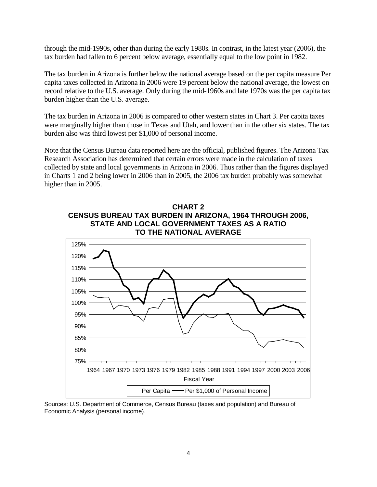through the mid-1990s, other than during the early 1980s. In contrast, in the latest year (2006), the tax burden had fallen to 6 percent below average, essentially equal to the low point in 1982.

The tax burden in Arizona is further below the national average based on the per capita measure Per capita taxes collected in Arizona in 2006 were 19 percent below the national average, the lowest on record relative to the U.S. average. Only during the mid-1960s and late 1970s was the per capita tax burden higher than the U.S. average.

The tax burden in Arizona in 2006 is compared to other western states in Chart 3. Per capita taxes were marginally higher than those in Texas and Utah, and lower than in the other six states. The tax burden also was third lowest per \$1,000 of personal income.

Note that the Census Bureau data reported here are the official, published figures. The Arizona Tax Research Association has determined that certain errors were made in the calculation of taxes collected by state and local governments in Arizona in 2006. Thus rather than the figures displayed in Charts 1 and 2 being lower in 2006 than in 2005, the 2006 tax burden probably was somewhat higher than in 2005.





Sources: U.S. Department of Commerce, Census Bureau (taxes and population) and Bureau of Economic Analysis (personal income).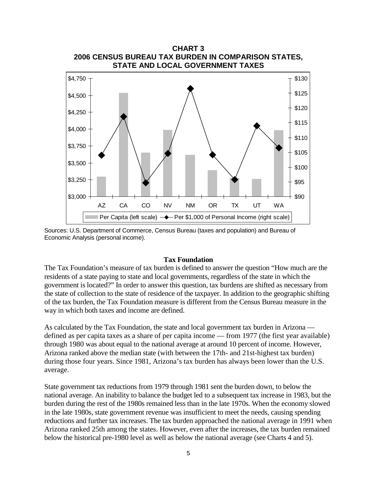

Sources: U.S. Department of Commerce, Census Bureau (taxes and population) and Bureau of Economic Analysis (personal income).

#### **Tax Foundation**

The Tax Foundation's measure of tax burden is defined to answer the question "How much are the residents of a state paying to state and local governments, regardless of the state in which the government is located?" In order to answer this question, tax burdens are shifted as necessary from the state of collection to the state of residence of the taxpayer. In addition to the geographic shifting of the tax burden, the Tax Foundation measure is different from the Census Bureau measure in the way in which both taxes and income are defined.

As calculated by the Tax Foundation, the state and local government tax burden in Arizona defined as per capita taxes as a share of per capita income — from 1977 (the first year available) through 1980 was about equal to the national average at around 10 percent of income. However, Arizona ranked above the median state (with between the 17th- and 21st-highest tax burden) during those four years. Since 1981, Arizona's tax burden has always been lower than the U.S. average.

State government tax reductions from 1979 through 1981 sent the burden down, to below the national average. An inability to balance the budget led to a subsequent tax increase in 1983, but the burden during the rest of the 1980s remained less than in the late 1970s. When the economy slowed in the late 1980s, state government revenue was insufficient to meet the needs, causing spending reductions and further tax increases. The tax burden approached the national average in 1991 when Arizona ranked 25th among the states. However, even after the increases, the tax burden remained below the historical pre-1980 level as well as below the national average (see Charts 4 and 5).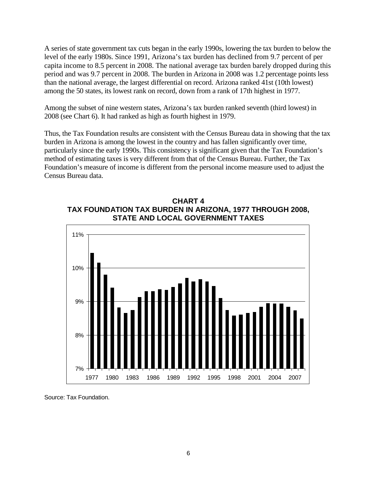A series of state government tax cuts began in the early 1990s, lowering the tax burden to below the level of the early 1980s. Since 1991, Arizona's tax burden has declined from 9.7 percent of per capita income to 8.5 percent in 2008. The national average tax burden barely dropped during this period and was 9.7 percent in 2008. The burden in Arizona in 2008 was 1.2 percentage points less than the national average, the largest differential on record. Arizona ranked 41st (10th lowest) among the 50 states, its lowest rank on record, down from a rank of 17th highest in 1977.

Among the subset of nine western states, Arizona's tax burden ranked seventh (third lowest) in 2008 (see Chart 6). It had ranked as high as fourth highest in 1979.

Thus, the Tax Foundation results are consistent with the Census Bureau data in showing that the tax burden in Arizona is among the lowest in the country and has fallen significantly over time, particularly since the early 1990s. This consistency is significant given that the Tax Foundation's method of estimating taxes is very different from that of the Census Bureau. Further, the Tax Foundation's measure of income is different from the personal income measure used to adjust the Census Bureau data.





Source: Tax Foundation.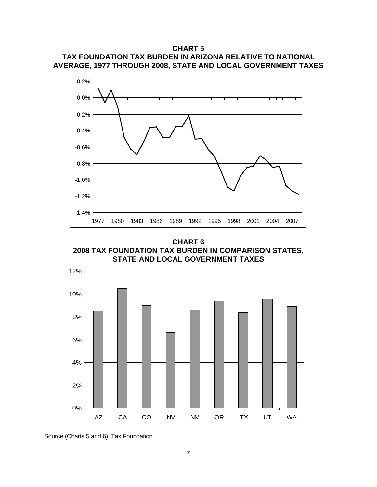# **CHART 5 TAX FOUNDATION TAX BURDEN IN ARIZONA RELATIVE TO NATIONAL AVERAGE, 1977 THROUGH 2008, STATE AND LOCAL GOVERNMENT TAXES**



**CHART 6 2008 TAX FOUNDATION TAX BURDEN IN COMPARISON STATES, STATE AND LOCAL GOVERNMENT TAXES**



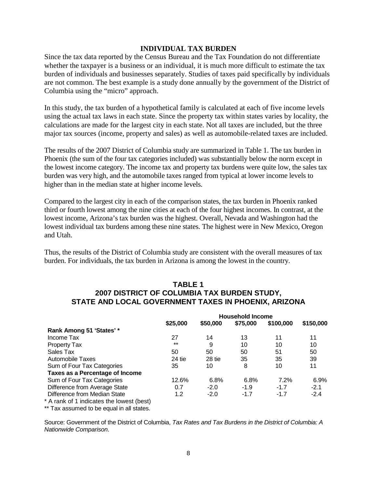#### **INDIVIDUAL TAX BURDEN**

Since the tax data reported by the Census Bureau and the Tax Foundation do not differentiate whether the taxpayer is a business or an individual, it is much more difficult to estimate the tax burden of individuals and businesses separately. Studies of taxes paid specifically by individuals are not common. The best example is a study done annually by the government of the District of Columbia using the "micro" approach.

In this study, the tax burden of a hypothetical family is calculated at each of five income levels using the actual tax laws in each state. Since the property tax within states varies by locality, the calculations are made for the largest city in each state. Not all taxes are included, but the three major tax sources (income, property and sales) as well as automobile-related taxes are included.

The results of the 2007 District of Columbia study are summarized in Table 1. The tax burden in Phoenix (the sum of the four tax categories included) was substantially below the norm except in the lowest income category. The income tax and property tax burdens were quite low, the sales tax burden was very high, and the automobile taxes ranged from typical at lower income levels to higher than in the median state at higher income levels.

Compared to the largest city in each of the comparison states, the tax burden in Phoenix ranked third or fourth lowest among the nine cities at each of the four highest incomes. In contrast, at the lowest income, Arizona's tax burden was the highest. Overall, Nevada and Washington had the lowest individual tax burdens among these nine states. The highest were in New Mexico, Oregon and Utah.

Thus, the results of the District of Columbia study are consistent with the overall measures of tax burden. For individuals, the tax burden in Arizona is among the lowest in the country.

# **TABLE 1 2007 DISTRICT OF COLUMBIA TAX BURDEN STUDY, STATE AND LOCAL GOVERNMENT TAXES IN PHOENIX, ARIZONA**

|                                           | <b>Household Income</b> |          |          |           |           |
|-------------------------------------------|-------------------------|----------|----------|-----------|-----------|
|                                           | \$25,000                | \$50,000 | \$75,000 | \$100,000 | \$150,000 |
| Rank Among 51 'States' *                  |                         |          |          |           |           |
| Income Tax                                | 27                      | 14       | 13       | 11        | 11        |
| Property Tax                              | $***$                   | 9        | 10       | 10        | 10        |
| Sales Tax                                 | 50                      | 50       | 50       | 51        | 50        |
| Automobile Taxes                          | 24 tie                  | 28 tie   | 35       | 35        | 39        |
| Sum of Four Tax Categories                | 35                      | 10       | 8        | 10        | 11        |
| Taxes as a Percentage of Income           |                         |          |          |           |           |
| Sum of Four Tax Categories                | 12.6%                   | 6.8%     | 6.8%     | 7.2%      | 6.9%      |
| Difference from Average State             | 0.7                     | $-2.0$   | $-1.9$   | $-1.7$    | $-2.1$    |
| Difference from Median State              | 1.2                     | $-2.0$   | $-1.7$   | $-1.7$    | $-2.4$    |
| * A rank of 1 indicates the lowest (best) |                         |          |          |           |           |
|                                           |                         |          |          |           |           |

\*\* Tax assumed to be equal in all states.

Source: Government of the District of Columbia, *Tax Rates and Tax Burdens in the District of Columbia: A Nationwide Comparison*.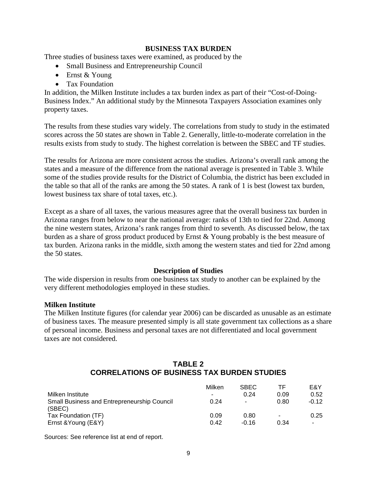### **BUSINESS TAX BURDEN**

Three studies of business taxes were examined, as produced by the

- Small Business and Entrepreneurship Council
- Ernst & Young
- Tax Foundation

In addition, the Milken Institute includes a tax burden index as part of their "Cost-of-Doing-Business Index." An additional study by the Minnesota Taxpayers Association examines only property taxes.

The results from these studies vary widely. The correlations from study to study in the estimated scores across the 50 states are shown in Table 2. Generally, little-to-moderate correlation in the results exists from study to study. The highest correlation is between the SBEC and TF studies.

The results for Arizona are more consistent across the studies. Arizona's overall rank among the states and a measure of the difference from the national average is presented in Table 3. While some of the studies provide results for the District of Columbia, the district has been excluded in the table so that all of the ranks are among the 50 states. A rank of 1 is best (lowest tax burden, lowest business tax share of total taxes, etc.).

Except as a share of all taxes, the various measures agree that the overall business tax burden in Arizona ranges from below to near the national average: ranks of 13th to tied for 22nd. Among the nine western states, Arizona's rank ranges from third to seventh. As discussed below, the tax burden as a share of gross product produced by Ernst & Young probably is the best measure of tax burden. Arizona ranks in the middle, sixth among the western states and tied for 22nd among the 50 states.

#### **Description of Studies**

The wide dispersion in results from one business tax study to another can be explained by the very different methodologies employed in these studies.

#### **Milken Institute**

The Milken Institute figures (for calendar year 2006) can be discarded as unusable as an estimate of business taxes. The measure presented simply is all state government tax collections as a share of personal income. Business and personal taxes are not differentiated and local government taxes are not considered.

## **TABLE 2 CORRELATIONS OF BUSINESS TAX BURDEN STUDIES**

|                                                       | Milken                   | <b>SBEC</b>    | TF             | E&Y     |
|-------------------------------------------------------|--------------------------|----------------|----------------|---------|
| Milken Institute                                      | $\overline{\phantom{a}}$ | 0.24           | 0.09           | 0.52    |
| Small Business and Entrepreneurship Council<br>(SBEC) | 0.24                     | $\blacksquare$ | 0.80           | $-0.12$ |
| Tax Foundation (TF)                                   | 0.09                     | 0.80           | $\blacksquare$ | 0.25    |
| Ernst & Young (E&Y)                                   | 0.42                     | $-0.16$        | 0.34           |         |

Sources: See reference list at end of report.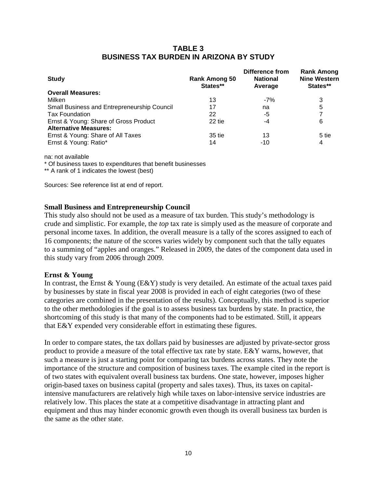# **TABLE 3 BUSINESS TAX BURDEN IN ARIZONA BY STUDY**

| <b>Study</b>                                | <b>Rank Among 50</b><br>States** | Difference from<br><b>National</b><br>Average | <b>Rank Among</b><br><b>Nine Western</b><br>States** |
|---------------------------------------------|----------------------------------|-----------------------------------------------|------------------------------------------------------|
| <b>Overall Measures:</b>                    |                                  |                                               |                                                      |
| Milken                                      | 13                               | $-7%$                                         | 3                                                    |
| Small Business and Entrepreneurship Council | 17                               | na                                            | 5                                                    |
| <b>Tax Foundation</b>                       | 22                               | -5                                            | 7                                                    |
| Ernst & Young: Share of Gross Product       | 22 tie                           | -4                                            | 6                                                    |
| <b>Alternative Measures:</b>                |                                  |                                               |                                                      |
| Ernst & Young: Share of All Taxes           | 35 tie                           | 13                                            | 5 tie                                                |
| Ernst & Young: Ratio*                       | 14                               | $-10$                                         | 4                                                    |

na: not available

\* Of business taxes to expenditures that benefit businesses

\*\* A rank of 1 indicates the lowest (best)

Sources: See reference list at end of report.

#### **Small Business and Entrepreneurship Council**

This study also should not be used as a measure of tax burden. This study's methodology is crude and simplistic. For example, the *top* tax rate is simply used as the measure of corporate and personal income taxes. In addition, the overall measure is a tally of the scores assigned to each of 16 components; the nature of the scores varies widely by component such that the tally equates to a summing of "apples and oranges." Released in 2009, the dates of the component data used in this study vary from 2006 through 2009.

#### **Ernst & Young**

In contrast, the Ernst & Young (E&Y) study is very detailed. An estimate of the actual taxes paid by businesses by state in fiscal year 2008 is provided in each of eight categories (two of these categories are combined in the presentation of the results). Conceptually, this method is superior to the other methodologies if the goal is to assess business tax burdens by state. In practice, the shortcoming of this study is that many of the components had to be estimated. Still, it appears that E&Y expended very considerable effort in estimating these figures.

In order to compare states, the tax dollars paid by businesses are adjusted by private-sector gross product to provide a measure of the total effective tax rate by state. E&Y warns, however, that such a measure is just a starting point for comparing tax burdens across states. They note the importance of the structure and composition of business taxes. The example cited in the report is of two states with equivalent overall business tax burdens. One state, however, imposes higher origin-based taxes on business capital (property and sales taxes). Thus, its taxes on capitalintensive manufacturers are relatively high while taxes on labor-intensive service industries are relatively low. This places the state at a competitive disadvantage in attracting plant and equipment and thus may hinder economic growth even though its overall business tax burden is the same as the other state.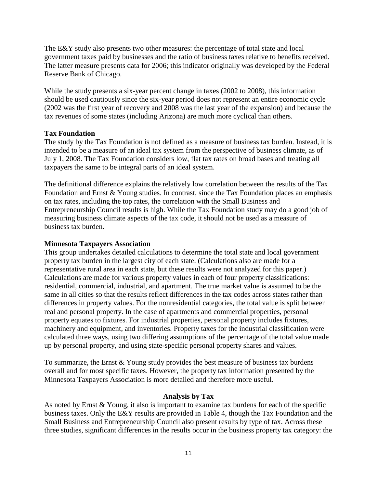The E&Y study also presents two other measures: the percentage of total state and local government taxes paid by businesses and the ratio of business taxes relative to benefits received. The latter measure presents data for 2006; this indicator originally was developed by the Federal Reserve Bank of Chicago.

While the study presents a six-year percent change in taxes (2002 to 2008), this information should be used cautiously since the six-year period does not represent an entire economic cycle (2002 was the first year of recovery and 2008 was the last year of the expansion) and because the tax revenues of some states (including Arizona) are much more cyclical than others.

#### **Tax Foundation**

The study by the Tax Foundation is not defined as a measure of business tax burden. Instead, it is intended to be a measure of an ideal tax system from the perspective of business climate, as of July 1, 2008. The Tax Foundation considers low, flat tax rates on broad bases and treating all taxpayers the same to be integral parts of an ideal system.

The definitional difference explains the relatively low correlation between the results of the Tax Foundation and Ernst & Young studies. In contrast, since the Tax Foundation places an emphasis on tax rates, including the top rates, the correlation with the Small Business and Entrepreneurship Council results is high. While the Tax Foundation study may do a good job of measuring business climate aspects of the tax code, it should not be used as a measure of business tax burden.

#### **Minnesota Taxpayers Association**

This group undertakes detailed calculations to determine the total state and local government property tax burden in the largest city of each state. (Calculations also are made for a representative rural area in each state, but these results were not analyzed for this paper.) Calculations are made for various property values in each of four property classifications: residential, commercial, industrial, and apartment. The true market value is assumed to be the same in all cities so that the results reflect differences in the tax codes across states rather than differences in property values. For the nonresidential categories, the total value is split between real and personal property. In the case of apartments and commercial properties, personal property equates to fixtures. For industrial properties, personal property includes fixtures, machinery and equipment, and inventories. Property taxes for the industrial classification were calculated three ways, using two differing assumptions of the percentage of the total value made up by personal property, and using state-specific personal property shares and values.

To summarize, the Ernst & Young study provides the best measure of business tax burdens overall and for most specific taxes. However, the property tax information presented by the Minnesota Taxpayers Association is more detailed and therefore more useful.

#### **Analysis by Tax**

As noted by Ernst & Young, it also is important to examine tax burdens for each of the specific business taxes. Only the E&Y results are provided in Table 4, though the Tax Foundation and the Small Business and Entrepreneurship Council also present results by type of tax. Across these three studies, significant differences in the results occur in the business property tax category: the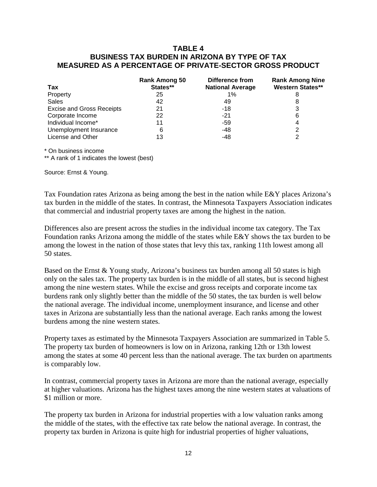# **TABLE 4 BUSINESS TAX BURDEN IN ARIZONA BY TYPE OF TAX MEASURED AS A PERCENTAGE OF PRIVATE-SECTOR GROSS PRODUCT**

|                                  | <b>Rank Among 50</b> | Difference from         | <b>Rank Among Nine</b>  |
|----------------------------------|----------------------|-------------------------|-------------------------|
| Tax                              | States**             | <b>National Average</b> | <b>Western States**</b> |
| Property                         | 25                   | 1%                      |                         |
| Sales                            | 42                   | 49                      |                         |
| <b>Excise and Gross Receipts</b> | 21                   | $-18$                   | 3                       |
| Corporate Income                 | 22                   | $-21$                   | 6                       |
| Individual Income*               | 11                   | -59                     | 4                       |
| Unemployment Insurance           | 6                    | $-48$                   |                         |
| License and Other                | 13                   | $-48$                   |                         |

\* On business income

\*\* A rank of 1 indicates the lowest (best)

Source: Ernst & Young.

Tax Foundation rates Arizona as being among the best in the nation while E&Y places Arizona's tax burden in the middle of the states. In contrast, the Minnesota Taxpayers Association indicates that commercial and industrial property taxes are among the highest in the nation.

Differences also are present across the studies in the individual income tax category. The Tax Foundation ranks Arizona among the middle of the states while E&Y shows the tax burden to be among the lowest in the nation of those states that levy this tax, ranking 11th lowest among all 50 states.

Based on the Ernst & Young study, Arizona's business tax burden among all 50 states is high only on the sales tax. The property tax burden is in the middle of all states, but is second highest among the nine western states. While the excise and gross receipts and corporate income tax burdens rank only slightly better than the middle of the 50 states, the tax burden is well below the national average. The individual income, unemployment insurance, and license and other taxes in Arizona are substantially less than the national average. Each ranks among the lowest burdens among the nine western states.

Property taxes as estimated by the Minnesota Taxpayers Association are summarized in Table 5. The property tax burden of homeowners is low on in Arizona, ranking 12th or 13th lowest among the states at some 40 percent less than the national average. The tax burden on apartments is comparably low.

In contrast, commercial property taxes in Arizona are more than the national average, especially at higher valuations. Arizona has the highest taxes among the nine western states at valuations of \$1 million or more.

The property tax burden in Arizona for industrial properties with a low valuation ranks among the middle of the states, with the effective tax rate below the national average. In contrast, the property tax burden in Arizona is quite high for industrial properties of higher valuations,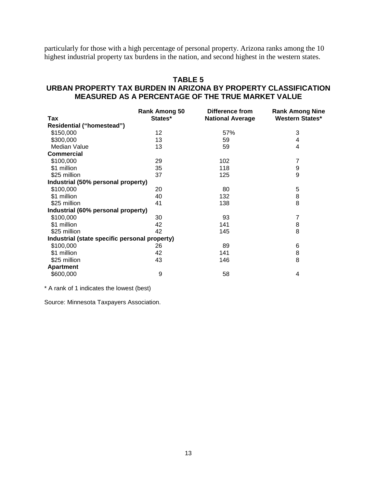particularly for those with a high percentage of personal property. Arizona ranks among the 10 highest industrial property tax burdens in the nation, and second highest in the western states.

# **TABLE 5 URBAN PROPERTY TAX BURDEN IN ARIZONA BY PROPERTY CLASSIFICATION MEASURED AS A PERCENTAGE OF THE TRUE MARKET VALUE**

|                                               | <b>Rank Among 50</b> | Difference from         | <b>Rank Among Nine</b> |
|-----------------------------------------------|----------------------|-------------------------|------------------------|
| Tax                                           | States*              | <b>National Average</b> | Western States*        |
| <b>Residential ("homestead")</b>              |                      |                         |                        |
| \$150,000                                     | 12                   | 57%                     | 3                      |
| \$300,000                                     | 13                   | 59                      | 4                      |
| Median Value                                  | 13                   | 59                      | 4                      |
| <b>Commercial</b>                             |                      |                         |                        |
| \$100,000                                     | 29                   | 102                     | 7                      |
| \$1 million                                   | 35                   | 118                     | 9                      |
| \$25 million                                  | 37                   | 125                     | $\boldsymbol{9}$       |
| Industrial (50% personal property)            |                      |                         |                        |
| \$100,000                                     | 20                   | 80                      | 5                      |
| \$1 million                                   | 40                   | 132                     | 8                      |
| \$25 million                                  | 41                   | 138                     | 8                      |
| Industrial (60% personal property)            |                      |                         |                        |
| \$100,000                                     | 30                   | 93                      | 7                      |
| \$1 million                                   | 42                   | 141                     | 8                      |
| \$25 million                                  | 42                   | 145                     | 8                      |
| Industrial (state specific personal property) |                      |                         |                        |
| \$100,000                                     | 26                   | 89                      | 6                      |
| \$1 million                                   | 42                   | 141                     | 8                      |
| \$25 million                                  | 43                   | 146                     | 8                      |
| <b>Apartment</b>                              |                      |                         |                        |
| \$600,000                                     | 9                    | 58                      | 4                      |

\* A rank of 1 indicates the lowest (best)

Source: Minnesota Taxpayers Association.